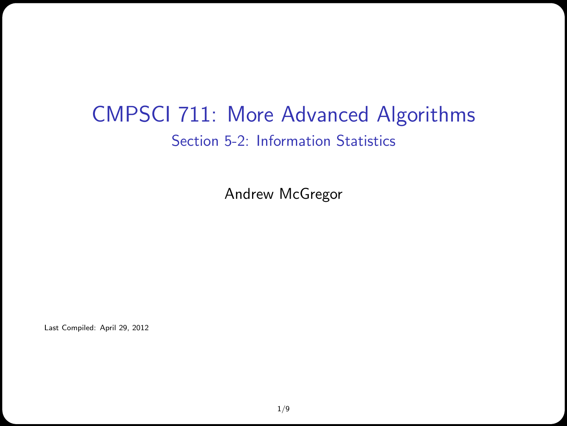#### CMPSCI 711: More Advanced Algorithms Section 5-2: Information Statistics

Andrew McGregor

Last Compiled: April 29, 2012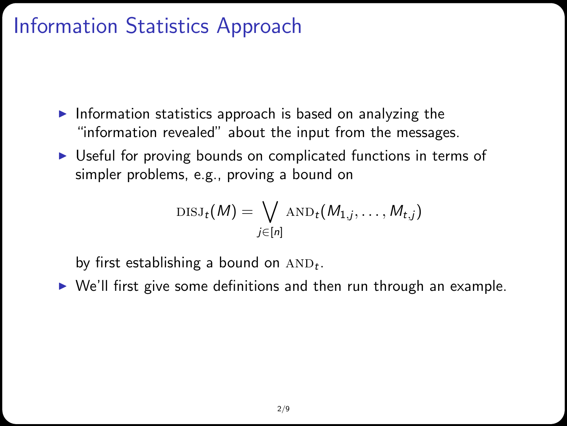#### Information Statistics Approach

- Information statistics approach is based on analyzing the "information revealed" about the input from the messages.
- $\triangleright$  Useful for proving bounds on complicated functions in terms of simpler problems, e.g., proving a bound on

$$
\text{DISJ}_{t}(M) = \bigvee_{j \in [n]} \text{AND}_{t}(M_{1,j}, \ldots, M_{t,j})
$$

by first establishing a bound on  $AND_t$ .

 $\triangleright$  We'll first give some definitions and then run through an example.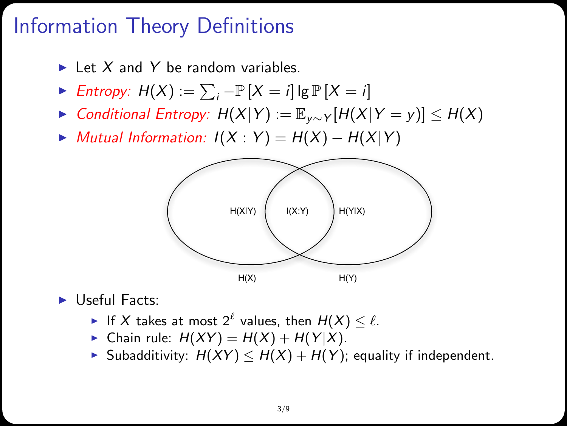# Information Theory Definitions

- $\blacktriangleright$  Let X and Y be random variables.
- ► Entropy:  $H(X) := \sum_i -\mathbb{P}[X = i]$   $[g \mathbb{P}[X = i]$
- $\triangleright$  Conditional Entropy:  $H(X|Y) := \mathbb{E}_{Y \sim Y} [H(X|Y = y)] \leq H(X)$
- $\blacktriangleright$  Mutual Information:  $I(X:Y) = H(X) H(X|Y)$



 $\blacktriangleright$  Useful Facts:

- If X takes at most  $2^{\ell}$  values, then  $H(X) \leq \ell$ .
- Chain rule:  $H(XY) = H(X) + H(Y|X)$ .
- ► Subadditivity:  $H(XY) \le H(X) + H(Y)$ ; equality if independent.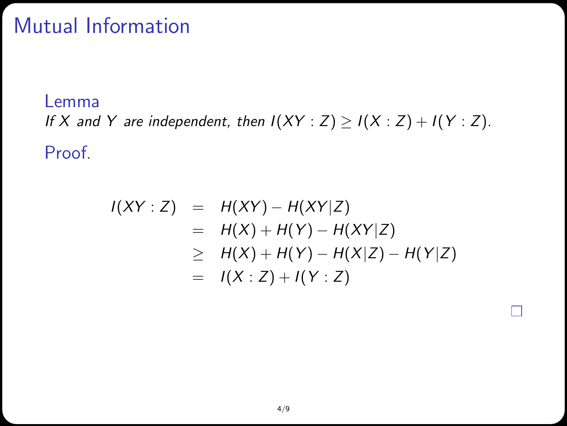# Mutual Information

Lemma If X and Y are independent, then  $I(XY : Z) \ge I(X : Z) + I(Y : Z)$ . Proof.

$$
I(XY : Z) = H(XY) - H(XY|Z)
$$
  
= H(X) + H(Y) - H(XY|Z)  

$$
\geq H(X) + H(Y) - H(X|Z) - H(Y|Z)
$$
  
= I(X : Z) + I(Y : Z)

**CONTRACT**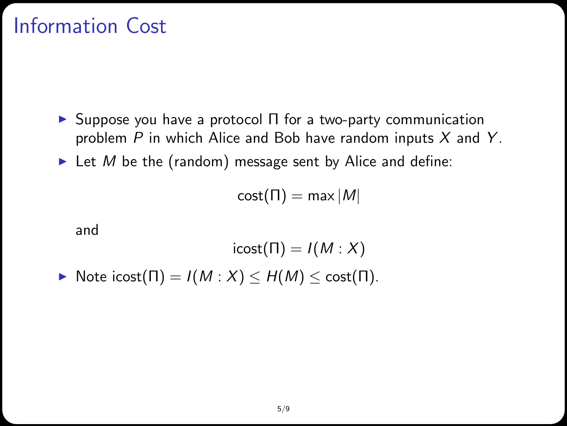## Information Cost

- $\triangleright$  Suppose you have a protocol  $\Pi$  for a two-party communication problem  $P$  in which Alice and Bob have random inputs  $X$  and  $Y$ .
- In Let M be the (random) message sent by Alice and define:

 $cost(\Pi) = max|M|$ 

and

$$
\text{icost}(\Pi) = I(M : X)
$$
  
• Note 
$$
\text{icost}(\Pi) = I(M : X) \le H(M) \le \text{cost}(\Pi).
$$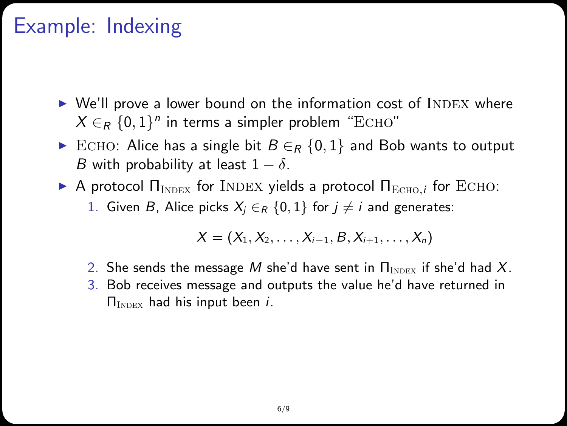### Example: Indexing

- $\triangleright$  We'll prove a lower bound on the information cost of INDEX where  $X \in_R \{0,1\}^n$  in terms a simpler problem "ECHO"
- ECHO: Alice has a single bit  $B \in_R \{0,1\}$  and Bob wants to output B with probability at least  $1 - \delta$ .
- **A** protocol  $\Pi_{\text{INDEX}}$  for INDEX yields a protocol  $\Pi_{\text{ECHO}}$ , for ECHO:
	- 1. Given B, Alice picks  $X_i \in_R \{0,1\}$  for  $i \neq i$  and generates:

$$
X = (X_1, X_2, \ldots, X_{i-1}, B, X_{i+1}, \ldots, X_n)
$$

- 2. She sends the message M she'd have sent in  $\Pi_{\text{INDEX}}$  if she'd had X.
- 3. Bob receives message and outputs the value he'd have returned in  $\Pi_{\text{INDEX}}$  had his input been *i*.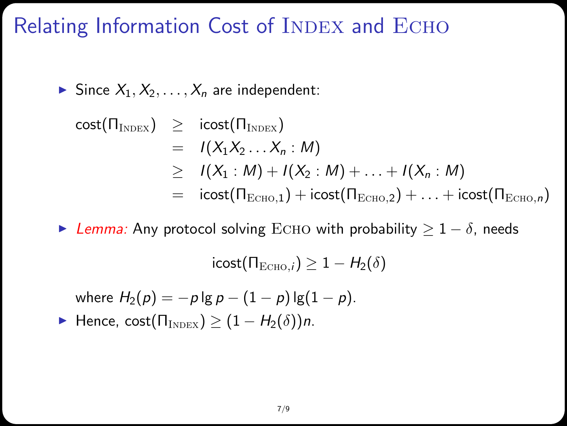#### Relating Information Cost of INDEX and ECHO

Since  $X_1, X_2, \ldots, X_n$  are independent:

cost(
$$
\Pi_{\text{INDEX}}
$$
)  $\geq$  icost( $\Pi_{\text{INDEX}}$ )  
\n $= I(X_1X_2...X_n : M)$   
\n $\geq I(X_1 : M) + I(X_2 : M) + ... + I(X_n : M)$   
\n $= i\text{cost}(\Pi_{\text{ECHO},1}) + i\text{cost}(\Pi_{\text{ECHO},2}) + ... + i\text{cost}(\Pi_{\text{ECHO},n})$ 

Example Lemma: Any protocol solving ECHO with probability  $> 1 - \delta$ , needs

 $\text{icost}(\Pi_{\text{Ecuo},i}) > 1 - H_2(\delta)$ 

where  $H_2(p) = -p \lg p - (1 - p) \lg (1 - p)$ . **►** Hence, cost( $\Pi_{\text{INDEX}}$ )  $\geq (1 - H_2(\delta))n$ .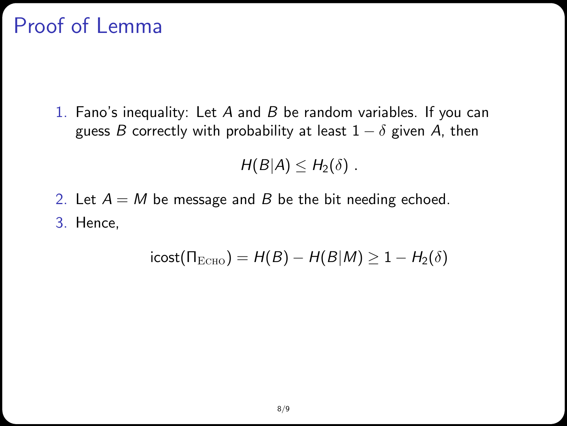# Proof of Lemma

1. Fano's inequality: Let  $A$  and  $B$  be random variables. If you can guess B correctly with probability at least  $1 - \delta$  given A, then

 $H(B|A) \leq H_2(\delta)$ .

2. Let  $A = M$  be message and B be the bit needing echoed. 3. Hence,

$$
icost(\Pi_{\text{ECHO}}) = H(B) - H(B|M) \geq 1 - H_2(\delta)
$$